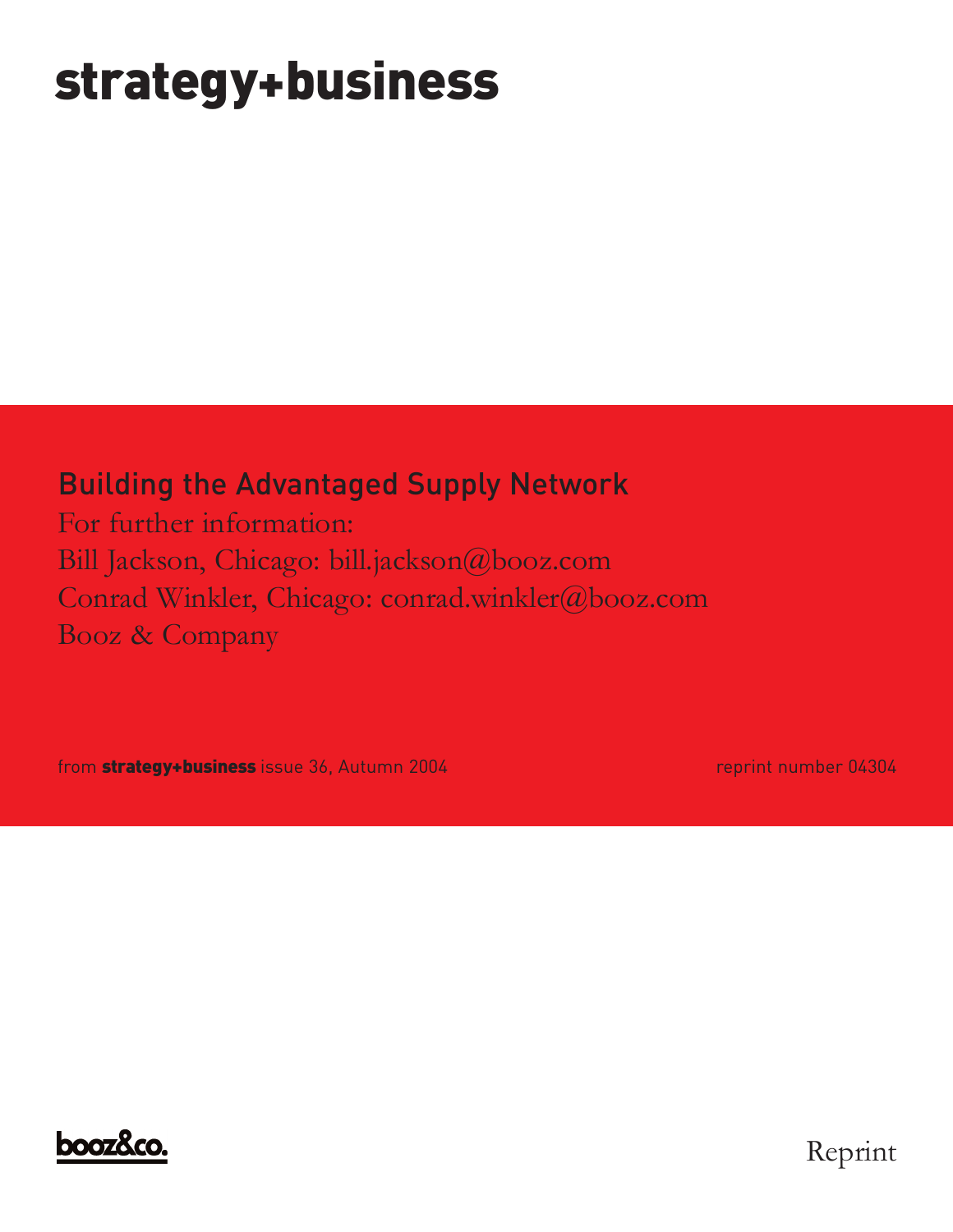### **strategy+business**

#### Building the Advantaged Supply Network

For further information: Bill Jackson, Chicago: bill.jackson@booz.com Conrad Winkler, Chicago: conrad.winkler@booz.com Booz & Company

from **strategy+business** issue 36, Autumn 2004 **reprint number 04304** reprint number 04304



Reprint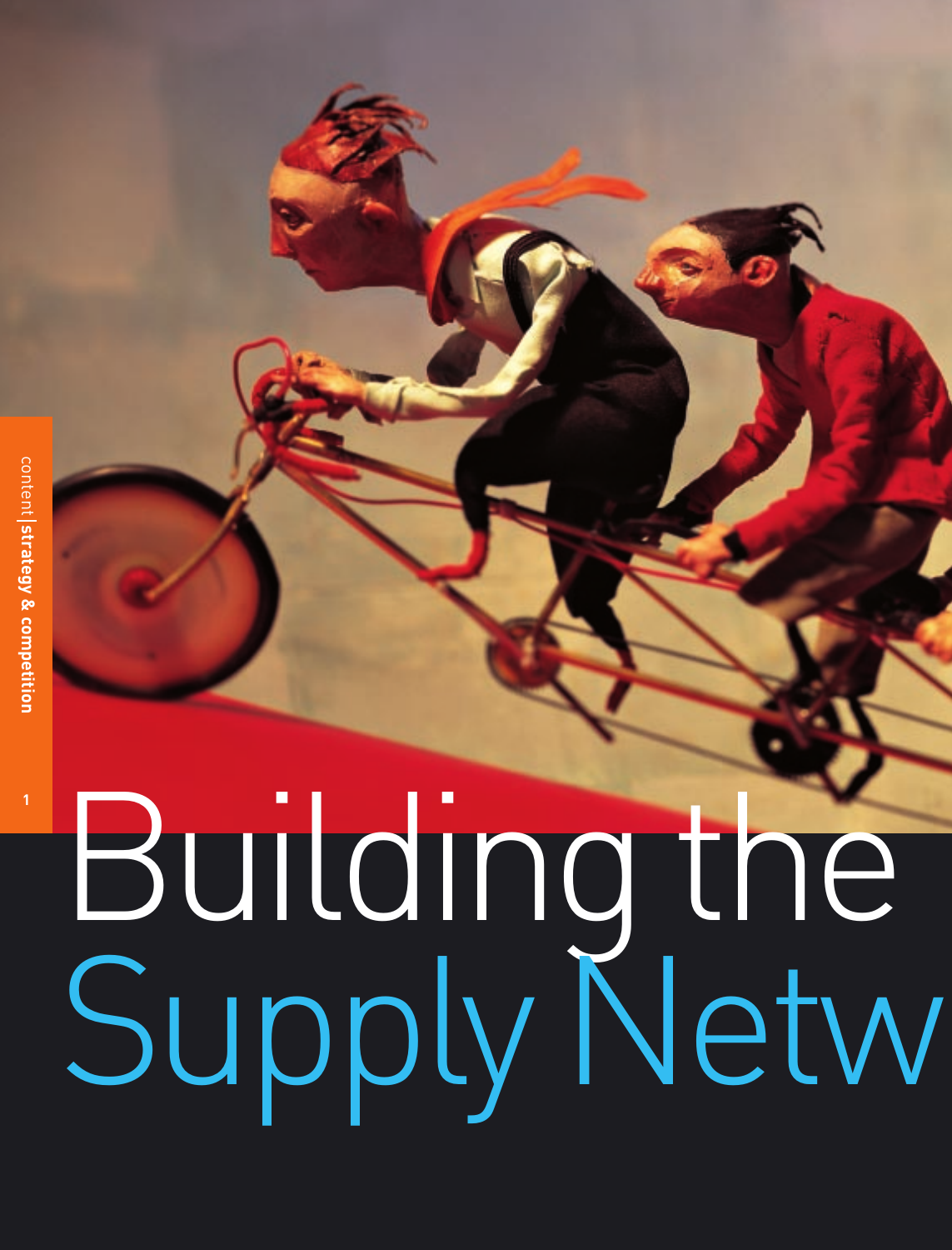**1**

## Buildingthe SupplyNetw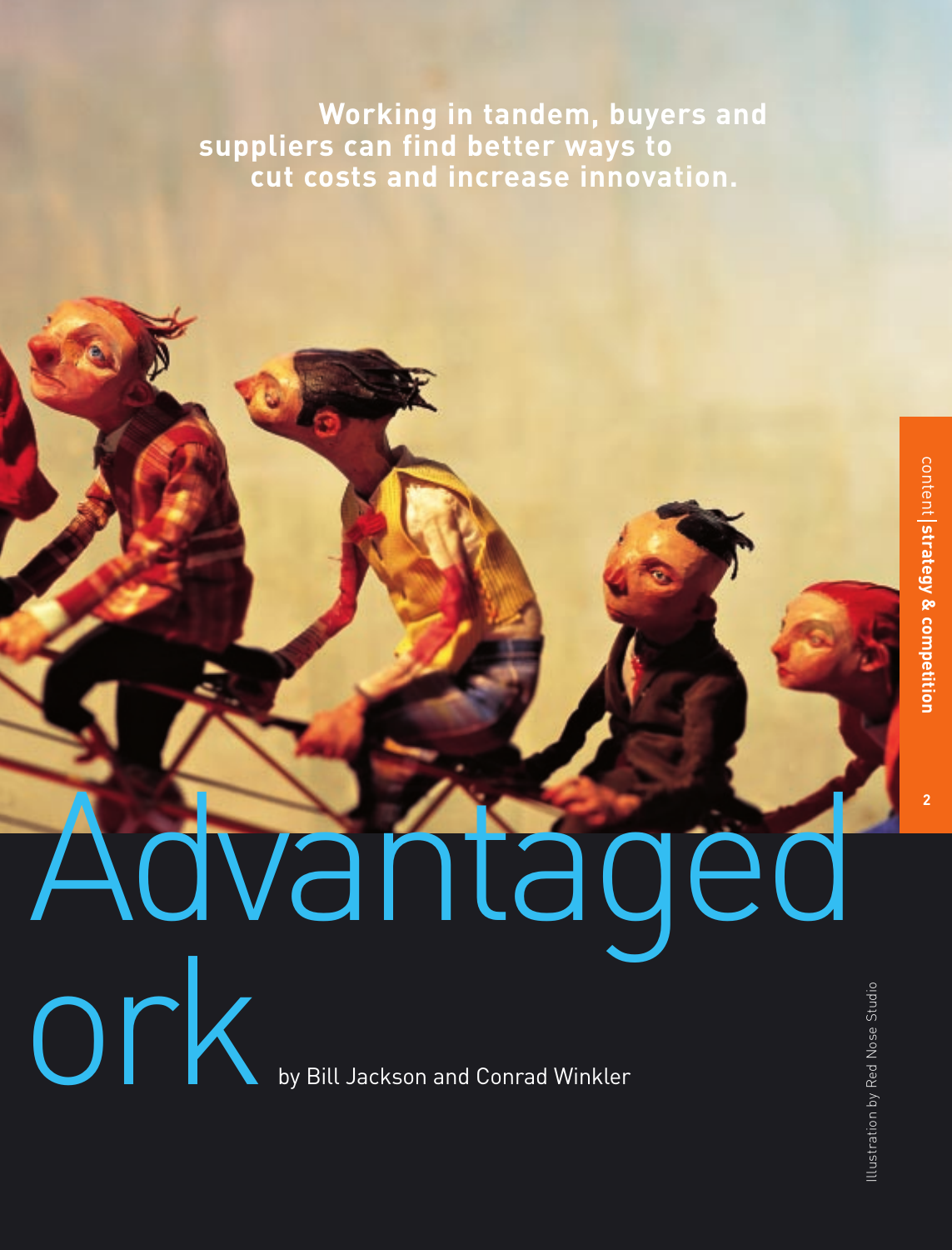**Working in tandem, buyers and suppliers can find better ways to cut costs and increase innovation.**

# Advantaged ork

by Bill Jackson and Conrad Winkler

**2**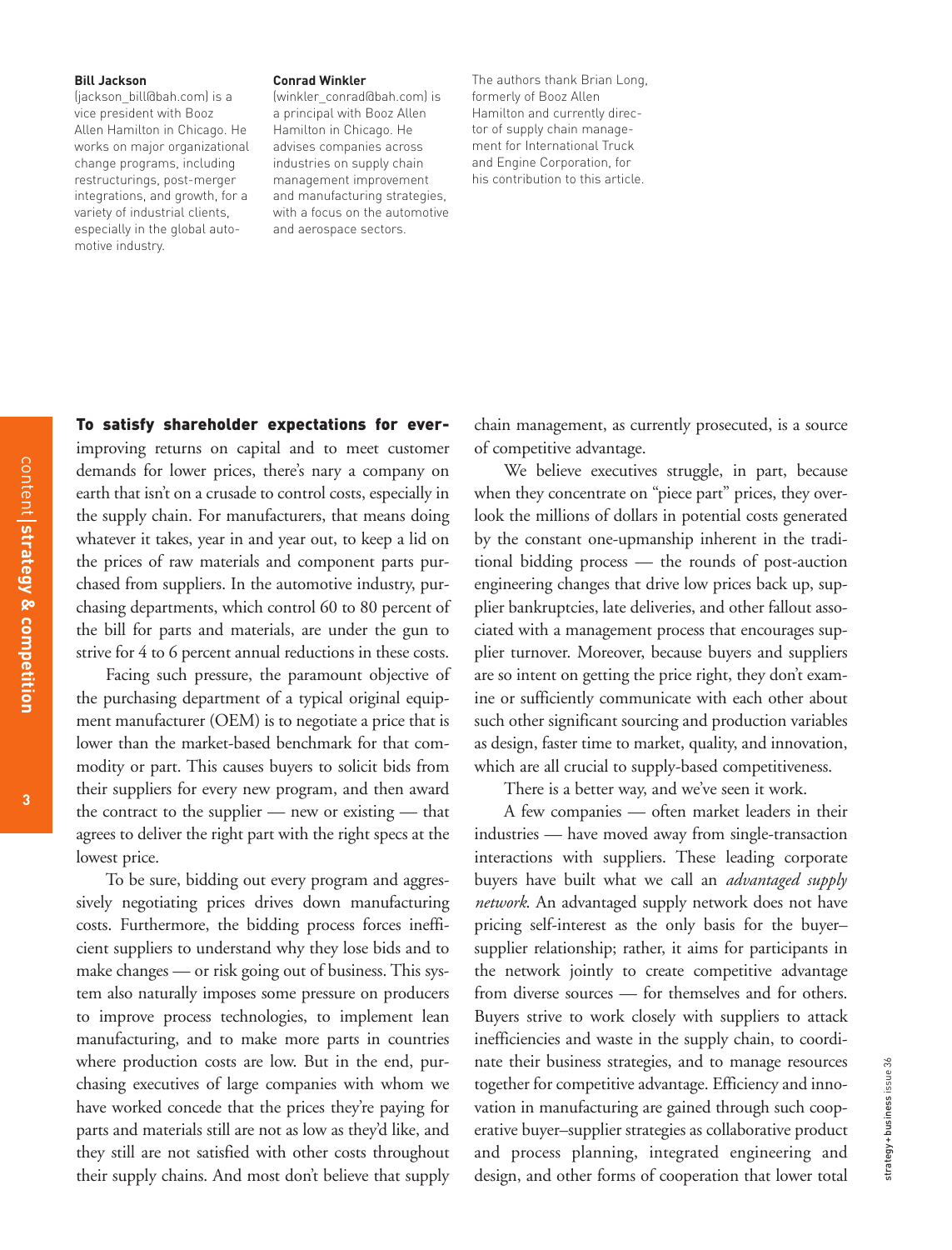#### **Bill Jackson**

(jackson\_bill@bah.com) is a vice president with Booz Allen Hamilton in Chicago. He works on major organizational change programs, including restructurings, post-merger integrations, and growth, for a variety of industrial clients, especially in the global automotive industry.

#### **Conrad Winkler**

(winkler\_conrad@bah.com) is a principal with Booz Allen Hamilton in Chicago. He advises companies across industries on supply chain management improvement and manufacturing strategies, with a focus on the automotive and aerospace sectors.

The authors thank Brian Long, formerly of Booz Allen Hamilton and currently director of supply chain management for International Truck and Engine Corporation, for his contribution to this article.

To satisfy shareholder expectations for ever-

improving returns on capital and to meet customer demands for lower prices, there's nary a company on earth that isn't on a crusade to control costs, especially in the supply chain. For manufacturers, that means doing whatever it takes, year in and year out, to keep a lid on the prices of raw materials and component parts purchased from suppliers. In the automotive industry, purchasing departments, which control 60 to 80 percent of the bill for parts and materials, are under the gun to strive for 4 to 6 percent annual reductions in these costs.

Facing such pressure, the paramount objective of the purchasing department of a typical original equipment manufacturer (OEM) is to negotiate a price that is lower than the market-based benchmark for that commodity or part. This causes buyers to solicit bids from their suppliers for every new program, and then award the contract to the supplier — new or existing — that agrees to deliver the right part with the right specs at the lowest price.

To be sure, bidding out every program and aggressively negotiating prices drives down manufacturing costs. Furthermore, the bidding process forces inefficient suppliers to understand why they lose bids and to make changes — or risk going out of business. This system also naturally imposes some pressure on producers to improve process technologies, to implement lean manufacturing, and to make more parts in countries where production costs are low. But in the end, purchasing executives of large companies with whom we have worked concede that the prices they're paying for parts and materials still are not as low as they'd like, and they still are not satisfied with other costs throughout their supply chains. And most don't believe that supply chain management, as currently prosecuted, is a source of competitive advantage.

We believe executives struggle, in part, because when they concentrate on "piece part" prices, they overlook the millions of dollars in potential costs generated by the constant one-upmanship inherent in the traditional bidding process — the rounds of post-auction engineering changes that drive low prices back up, supplier bankruptcies, late deliveries, and other fallout associated with a management process that encourages supplier turnover. Moreover, because buyers and suppliers are so intent on getting the price right, they don't examine or sufficiently communicate with each other about such other significant sourcing and production variables as design, faster time to market, quality, and innovation, which are all crucial to supply-based competitiveness.

There is a better way, and we've seen it work.

A few companies — often market leaders in their industries — have moved away from single-transaction interactions with suppliers. These leading corporate buyers have built what we call an *advantaged supply network*. An advantaged supply network does not have pricing self-interest as the only basis for the buyer– supplier relationship; rather, it aims for participants in the network jointly to create competitive advantage from diverse sources — for themselves and for others. Buyers strive to work closely with suppliers to attack inefficiencies and waste in the supply chain, to coordinate their business strategies, and to manage resources together for competitive advantage. Efficiency and innovation in manufacturing are gained through such cooperative buyer–supplier strategies as collaborative product and process planning, integrated engineering and design, and other forms of cooperation that lower total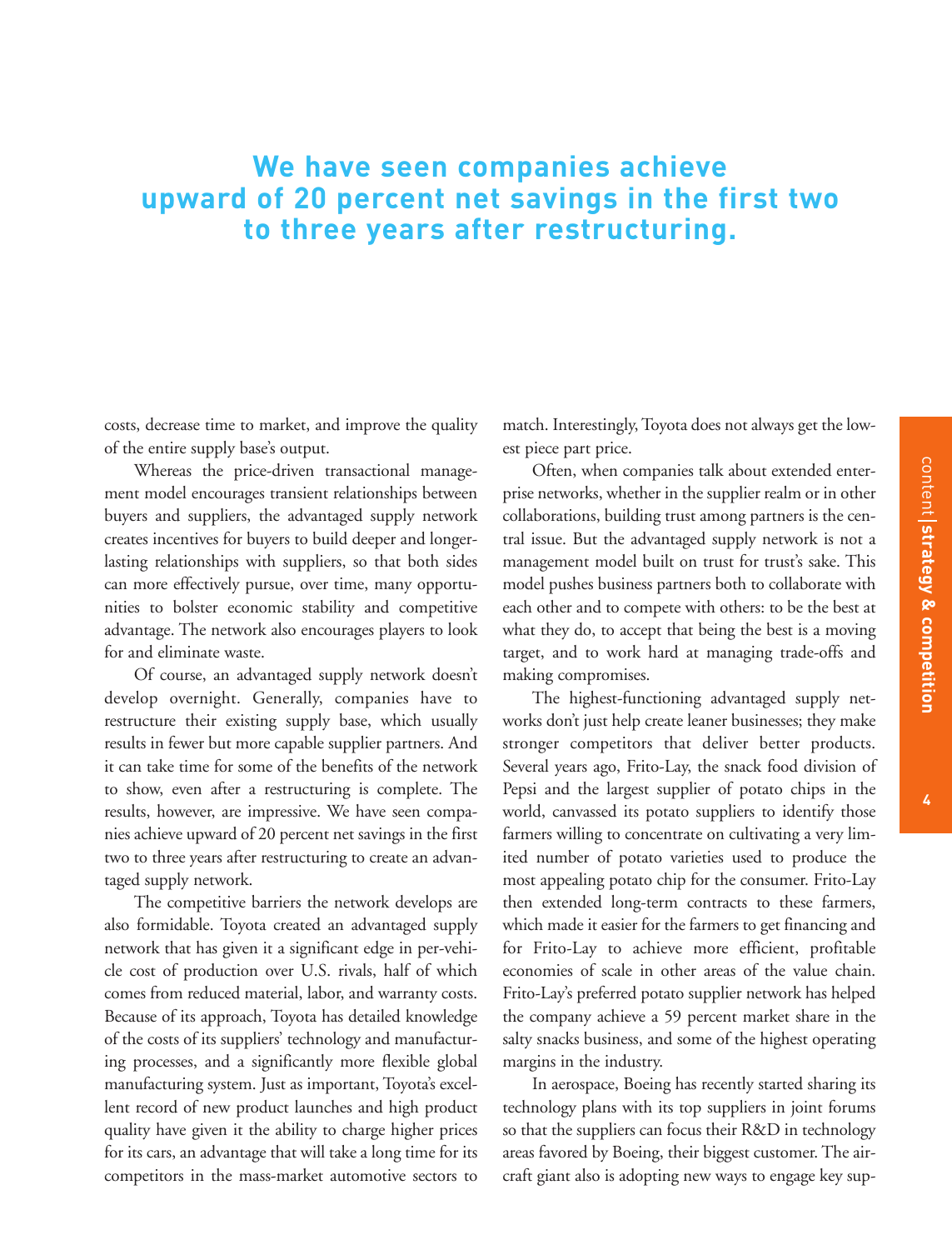#### **We have seen companies achieve upward of 20 percent net savings in the first two to three years after restructuring.**

costs, decrease time to market, and improve the quality of the entire supply base's output.

Whereas the price-driven transactional management model encourages transient relationships between buyers and suppliers, the advantaged supply network creates incentives for buyers to build deeper and longerlasting relationships with suppliers, so that both sides can more effectively pursue, over time, many opportunities to bolster economic stability and competitive advantage. The network also encourages players to look for and eliminate waste.

Of course, an advantaged supply network doesn't develop overnight. Generally, companies have to restructure their existing supply base, which usually results in fewer but more capable supplier partners. And it can take time for some of the benefits of the network to show, even after a restructuring is complete. The results, however, are impressive. We have seen companies achieve upward of 20 percent net savings in the first two to three years after restructuring to create an advantaged supply network.

The competitive barriers the network develops are also formidable. Toyota created an advantaged supply network that has given it a significant edge in per-vehicle cost of production over U.S. rivals, half of which comes from reduced material, labor, and warranty costs. Because of its approach, Toyota has detailed knowledge of the costs of its suppliers' technology and manufacturing processes, and a significantly more flexible global manufacturing system. Just as important, Toyota's excellent record of new product launches and high product quality have given it the ability to charge higher prices for its cars, an advantage that will take a long time for its competitors in the mass-market automotive sectors to

match. Interestingly, Toyota does not always get the lowest piece part price.

Often, when companies talk about extended enterprise networks, whether in the supplier realm or in other collaborations, building trust among partners is the central issue. But the advantaged supply network is not a management model built on trust for trust's sake. This model pushes business partners both to collaborate with each other and to compete with others: to be the best at what they do, to accept that being the best is a moving target, and to work hard at managing trade-offs and making compromises.

The highest-functioning advantaged supply networks don't just help create leaner businesses; they make stronger competitors that deliver better products. Several years ago, Frito-Lay, the snack food division of Pepsi and the largest supplier of potato chips in the world, canvassed its potato suppliers to identify those farmers willing to concentrate on cultivating a very limited number of potato varieties used to produce the most appealing potato chip for the consumer. Frito-Lay then extended long-term contracts to these farmers, which made it easier for the farmers to get financing and for Frito-Lay to achieve more efficient, profitable economies of scale in other areas of the value chain. Frito-Lay's preferred potato supplier network has helped the company achieve a 59 percent market share in the salty snacks business, and some of the highest operating margins in the industry.

In aerospace, Boeing has recently started sharing its technology plans with its top suppliers in joint forums so that the suppliers can focus their R&D in technology areas favored by Boeing, their biggest customer. The aircraft giant also is adopting new ways to engage key sup-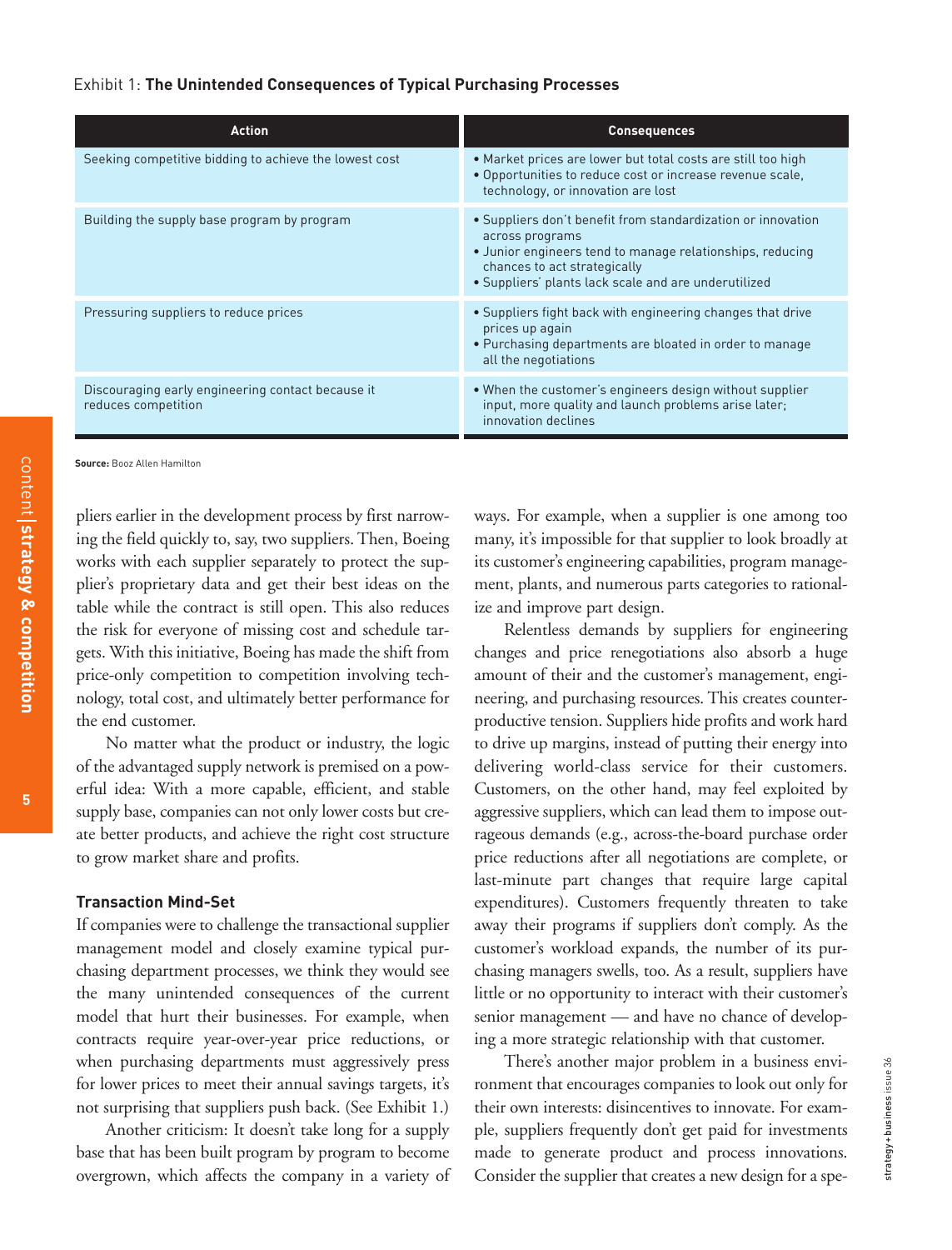#### Exhibit 1: **The Unintended Consequences of Typical Purchasing Processes**

| <b>Action</b>                                                            | <b>Consequences</b>                                                                                                                                                                                                                  |
|--------------------------------------------------------------------------|--------------------------------------------------------------------------------------------------------------------------------------------------------------------------------------------------------------------------------------|
| Seeking competitive bidding to achieve the lowest cost                   | • Market prices are lower but total costs are still too high<br>• Opportunities to reduce cost or increase revenue scale,<br>technology, or innovation are lost                                                                      |
| Building the supply base program by program                              | • Suppliers don't benefit from standardization or innovation<br>across programs<br>• Junior engineers tend to manage relationships, reducing<br>chances to act strategically<br>· Suppliers' plants lack scale and are underutilized |
| Pressuring suppliers to reduce prices                                    | • Suppliers fight back with engineering changes that drive<br>prices up again<br>• Purchasing departments are bloated in order to manage<br>all the negotiations                                                                     |
| Discouraging early engineering contact because it<br>reduces competition | . When the customer's engineers design without supplier<br>input, more quality and launch problems arise later;<br>innovation declines                                                                                               |

**Source:** Booz Allen Hamilton

pliers earlier in the development process by first narrowing the field quickly to, say, two suppliers. Then, Boeing works with each supplier separately to protect the supplier's proprietary data and get their best ideas on the table while the contract is still open. This also reduces the risk for everyone of missing cost and schedule targets. With this initiative, Boeing has made the shift from price-only competition to competition involving technology, total cost, and ultimately better performance for the end customer.

No matter what the product or industry, the logic of the advantaged supply network is premised on a powerful idea: With a more capable, efficient, and stable supply base, companies can not only lower costs but create better products, and achieve the right cost structure to grow market share and profits.

#### **Transaction Mind-Set**

If companies were to challenge the transactional supplier management model and closely examine typical purchasing department processes, we think they would see the many unintended consequences of the current model that hurt their businesses. For example, when contracts require year-over-year price reductions, or when purchasing departments must aggressively press for lower prices to meet their annual savings targets, it's not surprising that suppliers push back. (See Exhibit 1.)

Another criticism: It doesn't take long for a supply base that has been built program by program to become overgrown, which affects the company in a variety of ways. For example, when a supplier is one among too many, it's impossible for that supplier to look broadly at its customer's engineering capabilities, program management, plants, and numerous parts categories to rationalize and improve part design.

Relentless demands by suppliers for engineering changes and price renegotiations also absorb a huge amount of their and the customer's management, engineering, and purchasing resources. This creates counterproductive tension. Suppliers hide profits and work hard to drive up margins, instead of putting their energy into delivering world-class service for their customers. Customers, on the other hand, may feel exploited by aggressive suppliers, which can lead them to impose outrageous demands (e.g., across-the-board purchase order price reductions after all negotiations are complete, or last-minute part changes that require large capital expenditures). Customers frequently threaten to take away their programs if suppliers don't comply. As the customer's workload expands, the number of its purchasing managers swells, too. As a result, suppliers have little or no opportunity to interact with their customer's senior management — and have no chance of developing a more strategic relationship with that customer.

There's another major problem in a business environment that encourages companies to look out only for their own interests: disincentives to innovate. For example, suppliers frequently don't get paid for investments made to generate product and process innovations. Consider the supplier that creates a new design for a spe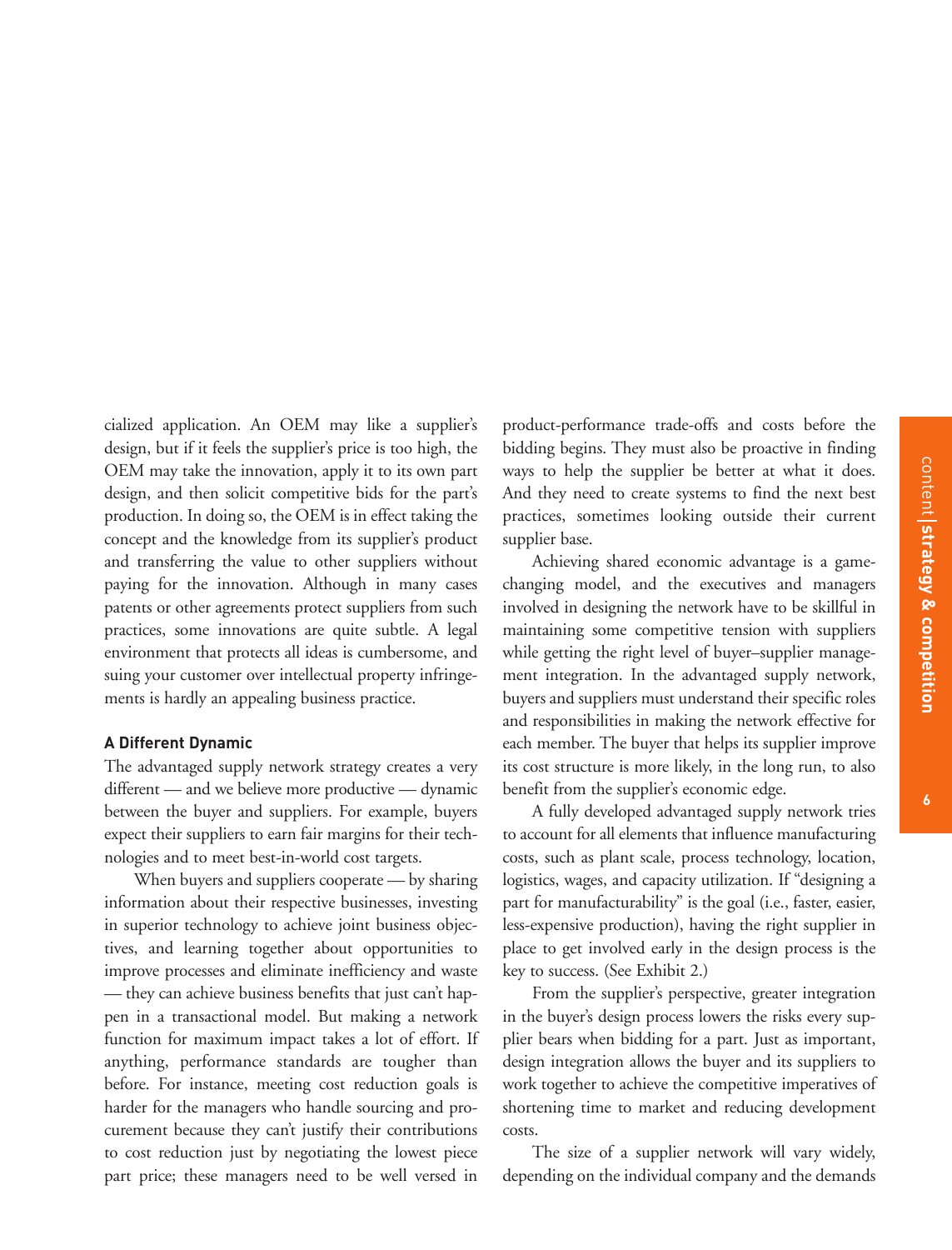cialized application. An OEM may like a supplier's design, but if it feels the supplier's price is too high, the OEM may take the innovation, apply it to its own part design, and then solicit competitive bids for the part's production. In doing so, the OEM is in effect taking the concept and the knowledge from its supplier's product and transferring the value to other suppliers without paying for the innovation. Although in many cases patents or other agreements protect suppliers from such practices, some innovations are quite subtle. A legal environment that protects all ideas is cumbersome, and suing your customer over intellectual property infringements is hardly an appealing business practice.

#### **A Different Dynamic**

The advantaged supply network strategy creates a very different — and we believe more productive — dynamic between the buyer and suppliers. For example, buyers expect their suppliers to earn fair margins for their technologies and to meet best-in-world cost targets.

When buyers and suppliers cooperate — by sharing information about their respective businesses, investing in superior technology to achieve joint business objectives, and learning together about opportunities to improve processes and eliminate inefficiency and waste — they can achieve business benefits that just can't happen in a transactional model. But making a network function for maximum impact takes a lot of effort. If anything, performance standards are tougher than before. For instance, meeting cost reduction goals is harder for the managers who handle sourcing and procurement because they can't justify their contributions to cost reduction just by negotiating the lowest piece part price; these managers need to be well versed in

product-performance trade-offs and costs before the bidding begins. They must also be proactive in finding ways to help the supplier be better at what it does. And they need to create systems to find the next best practices, sometimes looking outside their current supplier base.

Achieving shared economic advantage is a gamechanging model, and the executives and managers involved in designing the network have to be skillful in maintaining some competitive tension with suppliers while getting the right level of buyer–supplier management integration. In the advantaged supply network, buyers and suppliers must understand their specific roles and responsibilities in making the network effective for each member. The buyer that helps its supplier improve its cost structure is more likely, in the long run, to also benefit from the supplier's economic edge.

A fully developed advantaged supply network tries to account for all elements that influence manufacturing costs, such as plant scale, process technology, location, logistics, wages, and capacity utilization. If "designing a part for manufacturability" is the goal (i.e., faster, easier, less-expensive production), having the right supplier in place to get involved early in the design process is the key to success. (See Exhibit 2.)

From the supplier's perspective, greater integration in the buyer's design process lowers the risks every supplier bears when bidding for a part. Just as important, design integration allows the buyer and its suppliers to work together to achieve the competitive imperatives of shortening time to market and reducing development costs.

The size of a supplier network will vary widely, depending on the individual company and the demands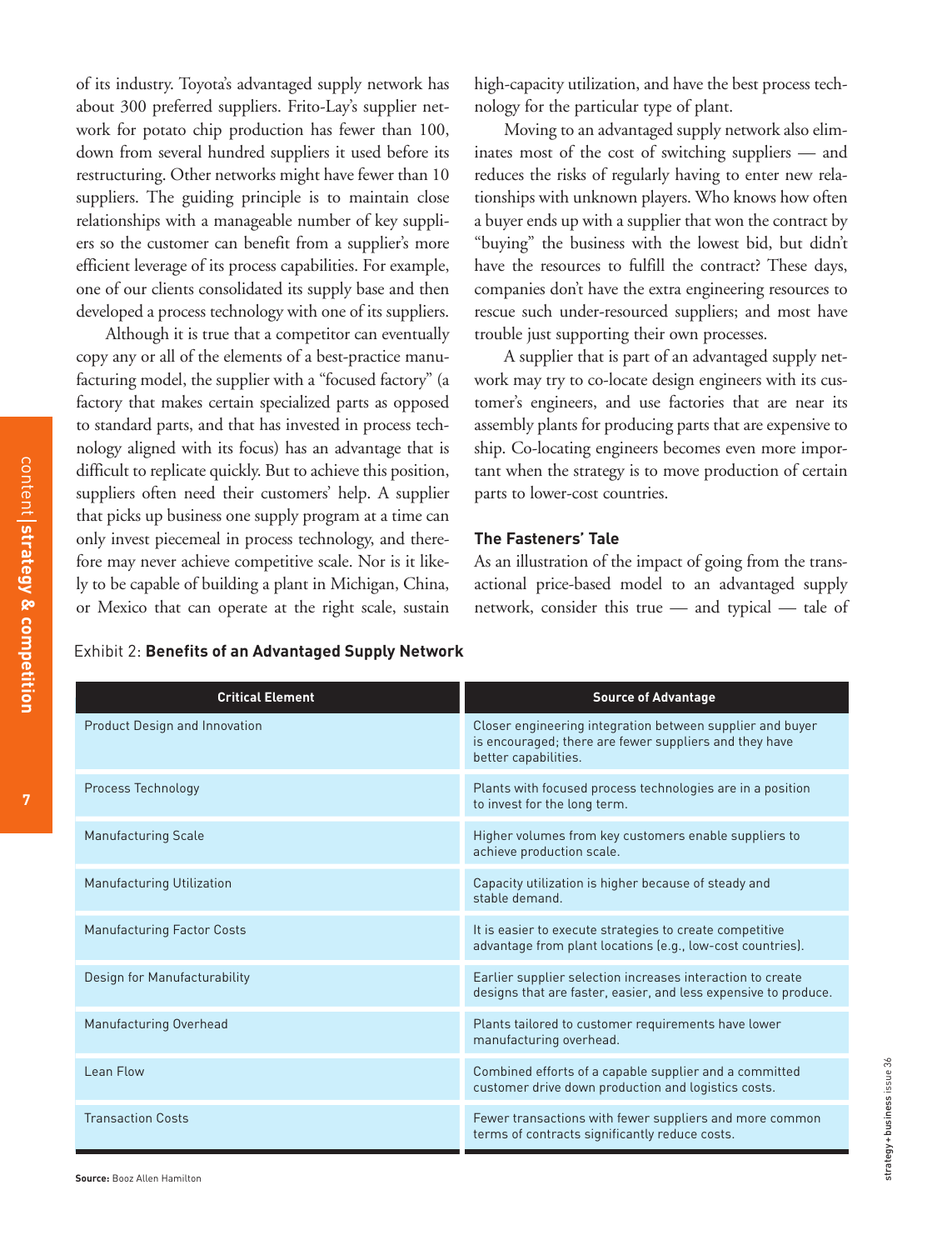of its industry. Toyota's advantaged supply network has about 300 preferred suppliers. Frito-Lay's supplier network for potato chip production has fewer than 100, down from several hundred suppliers it used before its restructuring. Other networks might have fewer than 10 suppliers. The guiding principle is to maintain close relationships with a manageable number of key suppliers so the customer can benefit from a supplier's more efficient leverage of its process capabilities. For example, one of our clients consolidated its supply base and then developed a process technology with one of its suppliers.

Although it is true that a competitor can eventually copy any or all of the elements of a best-practice manufacturing model, the supplier with a "focused factory" (a factory that makes certain specialized parts as opposed to standard parts, and that has invested in process technology aligned with its focus) has an advantage that is difficult to replicate quickly. But to achieve this position, suppliers often need their customers' help. A supplier that picks up business one supply program at a time can only invest piecemeal in process technology, and therefore may never achieve competitive scale. Nor is it likely to be capable of building a plant in Michigan, China, or Mexico that can operate at the right scale, sustain high-capacity utilization, and have the best process technology for the particular type of plant.

Moving to an advantaged supply network also eliminates most of the cost of switching suppliers — and reduces the risks of regularly having to enter new relationships with unknown players. Who knows how often a buyer ends up with a supplier that won the contract by "buying" the business with the lowest bid, but didn't have the resources to fulfill the contract? These days, companies don't have the extra engineering resources to rescue such under-resourced suppliers; and most have trouble just supporting their own processes.

A supplier that is part of an advantaged supply network may try to co-locate design engineers with its customer's engineers, and use factories that are near its assembly plants for producing parts that are expensive to ship. Co-locating engineers becomes even more important when the strategy is to move production of certain parts to lower-cost countries.

#### **The Fasteners' Tale**

As an illustration of the impact of going from the transactional price-based model to an advantaged supply network, consider this true — and typical — tale of

| <b>Critical Element</b>              | <b>Source of Advantage</b>                                                                                                                  |
|--------------------------------------|---------------------------------------------------------------------------------------------------------------------------------------------|
| <b>Product Design and Innovation</b> | Closer engineering integration between supplier and buyer<br>is encouraged; there are fewer suppliers and they have<br>better capabilities. |
| Process Technology                   | Plants with focused process technologies are in a position<br>to invest for the long term.                                                  |
| <b>Manufacturing Scale</b>           | Higher volumes from key customers enable suppliers to<br>achieve production scale.                                                          |
| <b>Manufacturing Utilization</b>     | Capacity utilization is higher because of steady and<br>stable demand.                                                                      |
| <b>Manufacturing Factor Costs</b>    | It is easier to execute strategies to create competitive<br>advantage from plant locations (e.g., low-cost countries).                      |
| Design for Manufacturability         | Earlier supplier selection increases interaction to create<br>designs that are faster, easier, and less expensive to produce.               |
| Manufacturing Overhead               | Plants tailored to customer requirements have lower<br>manufacturing overhead.                                                              |
| Lean Flow                            | Combined efforts of a capable supplier and a committed<br>customer drive down production and logistics costs.                               |
| <b>Transaction Costs</b>             | Fewer transactions with fewer suppliers and more common<br>terms of contracts significantly reduce costs.                                   |

Exhibit 2: **Benefits of an Advantaged Supply Network**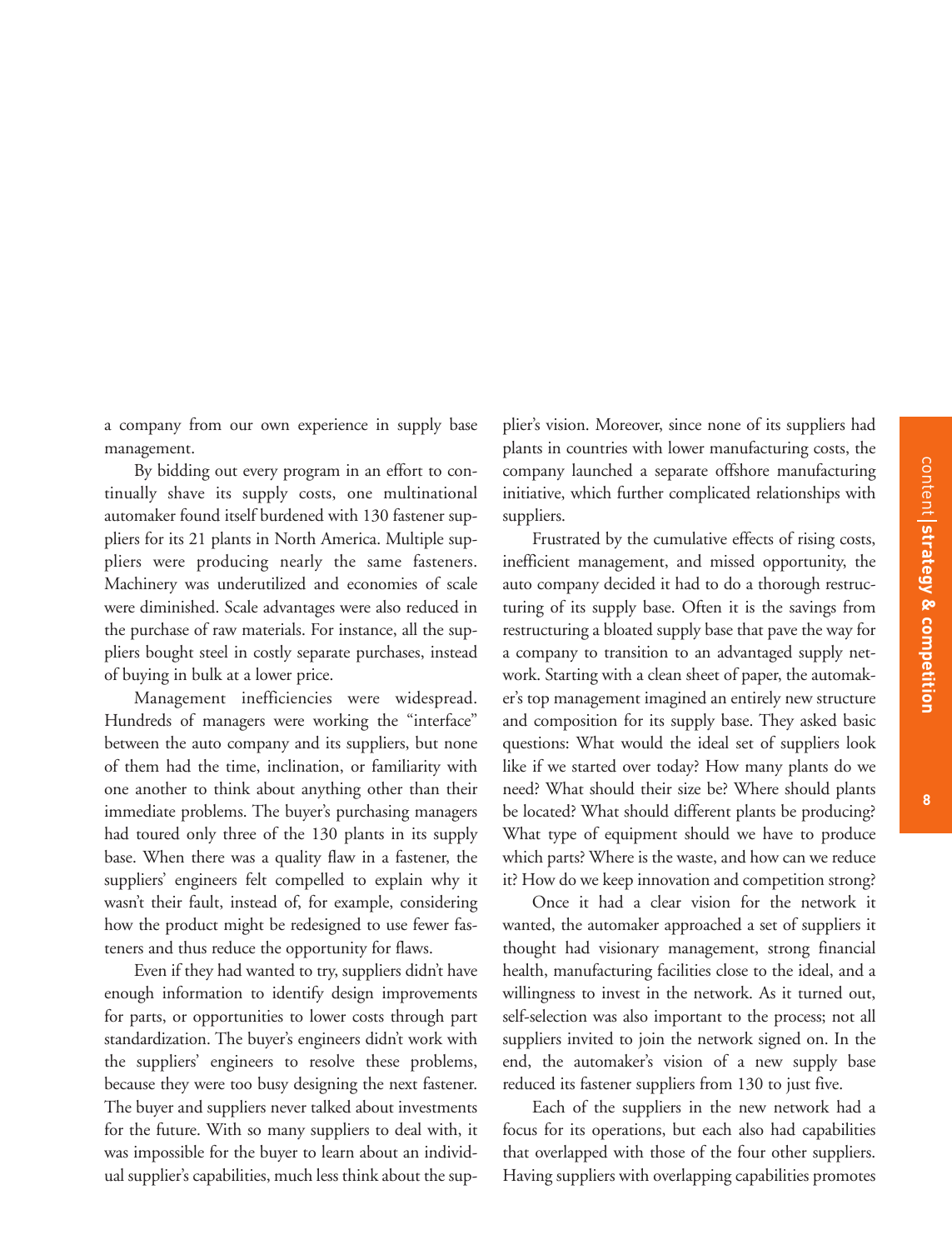a company from our own experience in supply base management.

By bidding out every program in an effort to continually shave its supply costs, one multinational automaker found itself burdened with 130 fastener suppliers for its 21 plants in North America. Multiple suppliers were producing nearly the same fasteners. Machinery was underutilized and economies of scale were diminished. Scale advantages were also reduced in the purchase of raw materials. For instance, all the suppliers bought steel in costly separate purchases, instead of buying in bulk at a lower price.

Management inefficiencies were widespread. Hundreds of managers were working the "interface" between the auto company and its suppliers, but none of them had the time, inclination, or familiarity with one another to think about anything other than their immediate problems. The buyer's purchasing managers had toured only three of the 130 plants in its supply base. When there was a quality flaw in a fastener, the suppliers' engineers felt compelled to explain why it wasn't their fault, instead of, for example, considering how the product might be redesigned to use fewer fasteners and thus reduce the opportunity for flaws.

Even if they had wanted to try, suppliers didn't have enough information to identify design improvements for parts, or opportunities to lower costs through part standardization. The buyer's engineers didn't work with the suppliers' engineers to resolve these problems, because they were too busy designing the next fastener. The buyer and suppliers never talked about investments for the future. With so many suppliers to deal with, it was impossible for the buyer to learn about an individual supplier's capabilities, much less think about the supplier's vision. Moreover, since none of its suppliers had plants in countries with lower manufacturing costs, the company launched a separate offshore manufacturing initiative, which further complicated relationships with suppliers.

Frustrated by the cumulative effects of rising costs, inefficient management, and missed opportunity, the auto company decided it had to do a thorough restructuring of its supply base. Often it is the savings from restructuring a bloated supply base that pave the way for a company to transition to an advantaged supply network. Starting with a clean sheet of paper, the automaker's top management imagined an entirely new structure and composition for its supply base. They asked basic questions: What would the ideal set of suppliers look like if we started over today? How many plants do we need? What should their size be? Where should plants be located? What should different plants be producing? What type of equipment should we have to produce which parts? Where is the waste, and how can we reduce it? How do we keep innovation and competition strong?

Once it had a clear vision for the network it wanted, the automaker approached a set of suppliers it thought had visionary management, strong financial health, manufacturing facilities close to the ideal, and a willingness to invest in the network. As it turned out, self-selection was also important to the process; not all suppliers invited to join the network signed on. In the end, the automaker's vision of a new supply base reduced its fastener suppliers from 130 to just five.

Each of the suppliers in the new network had a focus for its operations, but each also had capabilities that overlapped with those of the four other suppliers. Having suppliers with overlapping capabilities promotes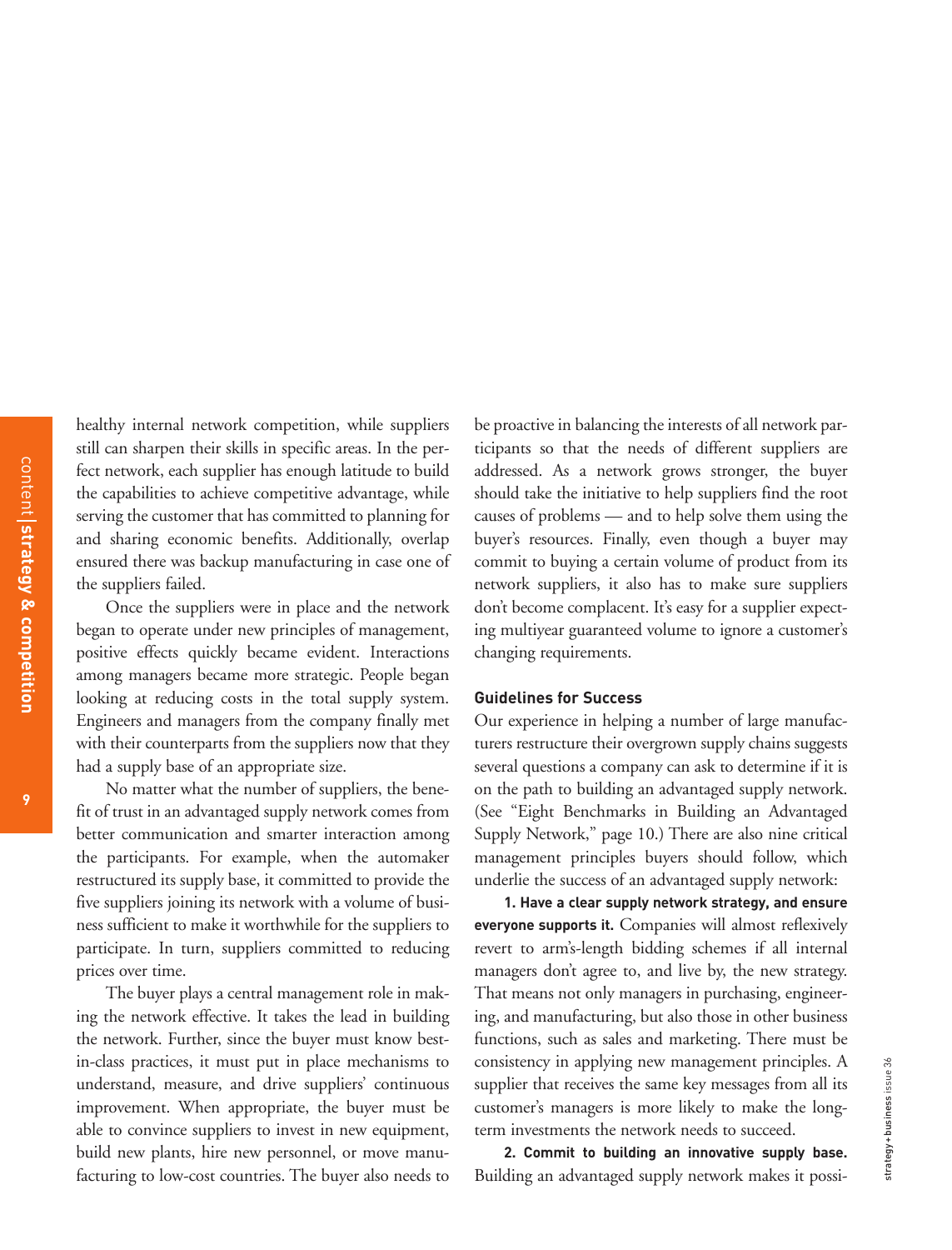healthy internal network competition, while suppliers still can sharpen their skills in specific areas. In the perfect network, each supplier has enough latitude to build the capabilities to achieve competitive advantage, while serving the customer that has committed to planning for and sharing economic benefits. Additionally, overlap ensured there was backup manufacturing in case one of the suppliers failed.

Once the suppliers were in place and the network began to operate under new principles of management, positive effects quickly became evident. Interactions among managers became more strategic. People began looking at reducing costs in the total supply system. Engineers and managers from the company finally met with their counterparts from the suppliers now that they had a supply base of an appropriate size.

No matter what the number of suppliers, the benefit of trust in an advantaged supply network comes from better communication and smarter interaction among the participants. For example, when the automaker restructured its supply base, it committed to provide the five suppliers joining its network with a volume of business sufficient to make it worthwhile for the suppliers to participate. In turn, suppliers committed to reducing prices over time.

The buyer plays a central management role in making the network effective. It takes the lead in building the network. Further, since the buyer must know bestin-class practices, it must put in place mechanisms to understand, measure, and drive suppliers' continuous improvement. When appropriate, the buyer must be able to convince suppliers to invest in new equipment, build new plants, hire new personnel, or move manufacturing to low-cost countries. The buyer also needs to be proactive in balancing the interests of all network participants so that the needs of different suppliers are addressed. As a network grows stronger, the buyer should take the initiative to help suppliers find the root causes of problems — and to help solve them using the buyer's resources. Finally, even though a buyer may commit to buying a certain volume of product from its network suppliers, it also has to make sure suppliers don't become complacent. It's easy for a supplier expecting multiyear guaranteed volume to ignore a customer's changing requirements.

#### **Guidelines for Success**

Our experience in helping a number of large manufacturers restructure their overgrown supply chains suggests several questions a company can ask to determine if it is on the path to building an advantaged supply network. (See "Eight Benchmarks in Building an Advantaged Supply Network," page 10.) There are also nine critical management principles buyers should follow, which underlie the success of an advantaged supply network:

**1. Have a clear supply network strategy, and ensure everyone supports it.** Companies will almost reflexively revert to arm's-length bidding schemes if all internal managers don't agree to, and live by, the new strategy. That means not only managers in purchasing, engineering, and manufacturing, but also those in other business functions, such as sales and marketing. There must be consistency in applying new management principles. A supplier that receives the same key messages from all its customer's managers is more likely to make the longterm investments the network needs to succeed.

**2. Commit to building an innovative supply base.** Building an advantaged supply network makes it possi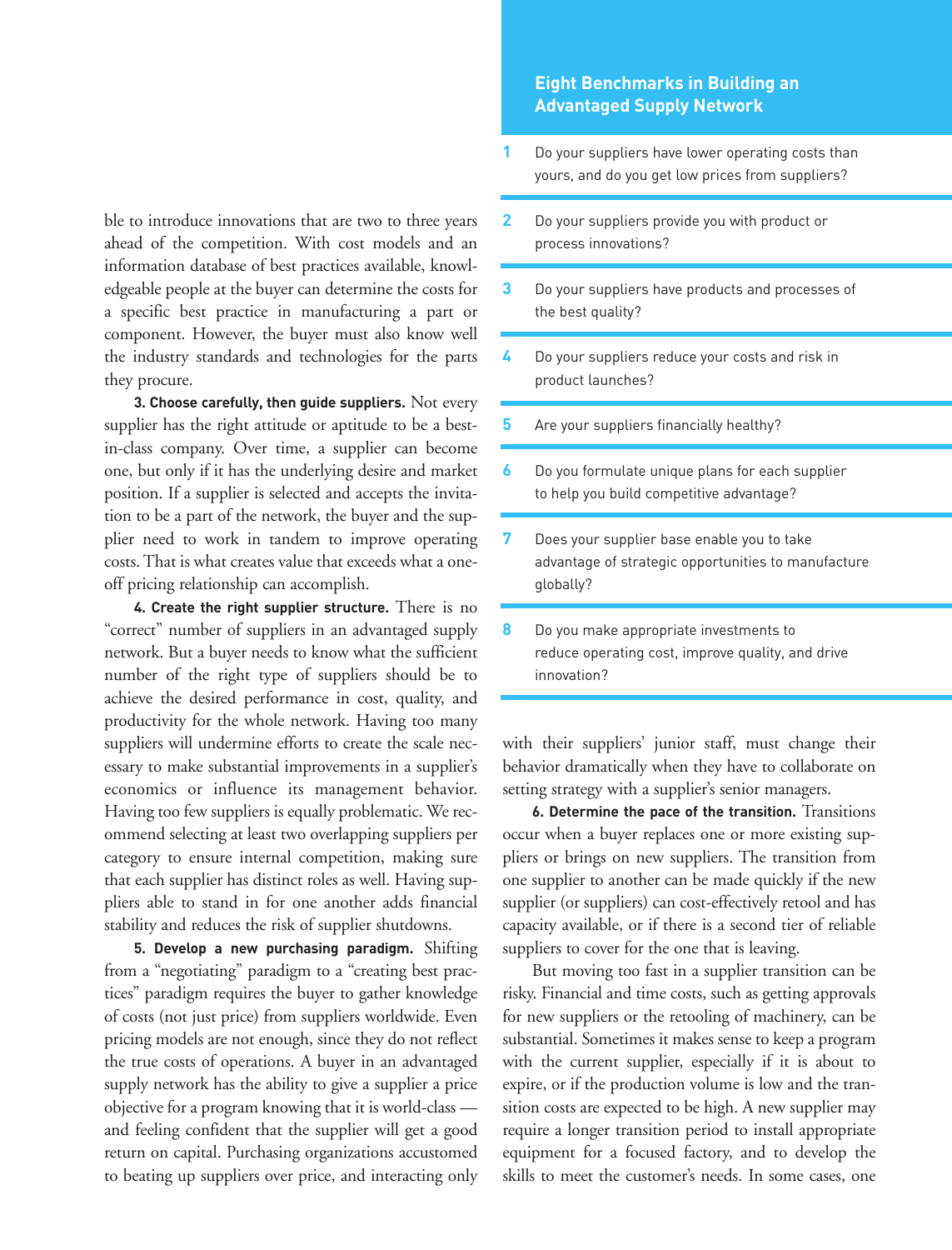ble to introduce innovations that are two to three years ahead of the competition. With cost models and an information database of best practices available, knowledgeable people at the buyer can determine the costs for a specific best practice in manufacturing a part or component. However, the buyer must also know well the industry standards and technologies for the parts they procure.

**3. Choose carefully, then guide suppliers.** Not every supplier has the right attitude or aptitude to be a bestin-class company. Over time, a supplier can become one, but only if it has the underlying desire and market position. If a supplier is selected and accepts the invitation to be a part of the network, the buyer and the supplier need to work in tandem to improve operating costs. That is what creates value that exceeds what a oneoff pricing relationship can accomplish.

**4. Create the right supplier structure.** There is no "correct" number of suppliers in an advantaged supply network. But a buyer needs to know what the sufficient number of the right type of suppliers should be to achieve the desired performance in cost, quality, and productivity for the whole network. Having too many suppliers will undermine efforts to create the scale necessary to make substantial improvements in a supplier's economics or influence its management behavior. Having too few suppliers is equally problematic. We recommend selecting at least two overlapping suppliers per category to ensure internal competition, making sure that each supplier has distinct roles as well. Having suppliers able to stand in for one another adds financial stability and reduces the risk of supplier shutdowns.

**5. Develop a new purchasing paradigm.** Shifting from a "negotiating" paradigm to a "creating best practices" paradigm requires the buyer to gather knowledge of costs (not just price) from suppliers worldwide. Even pricing models are not enough, since they do not reflect the true costs of operations. A buyer in an advantaged supply network has the ability to give a supplier a price objective for a program knowing that it is world-class and feeling confident that the supplier will get a good return on capital. Purchasing organizations accustomed to beating up suppliers over price, and interacting only

#### **Eight Benchmarks in Building an Advantaged Supply Network**

- Do your suppliers have lower operating costs than yours, and do you get low prices from suppliers? **1**
- Do your suppliers provide you with product or process innovations? **2**
- Do your suppliers have products and processes of the best quality? **3**
- Do your suppliers reduce your costs and risk in product launches? **4**
- Are your suppliers financially healthy? **5**
- Do you formulate unique plans for each supplier to help you build competitive advantage? **6**
- Does your supplier base enable you to take advantage of strategic opportunities to manufacture globally? **7**
- Do you make appropriate investments to reduce operating cost, improve quality, and drive innovation? **8**

with their suppliers' junior staff, must change their behavior dramatically when they have to collaborate on setting strategy with a supplier's senior managers.

**6. Determine the pace of the transition.** Transitions occur when a buyer replaces one or more existing suppliers or brings on new suppliers. The transition from one supplier to another can be made quickly if the new supplier (or suppliers) can cost-effectively retool and has capacity available, or if there is a second tier of reliable suppliers to cover for the one that is leaving.

But moving too fast in a supplier transition can be risky. Financial and time costs, such as getting approvals for new suppliers or the retooling of machinery, can be substantial. Sometimes it makes sense to keep a program with the current supplier, especially if it is about to expire, or if the production volume is low and the transition costs are expected to be high. A new supplier may require a longer transition period to install appropriate equipment for a focused factory, and to develop the skills to meet the customer's needs. In some cases, one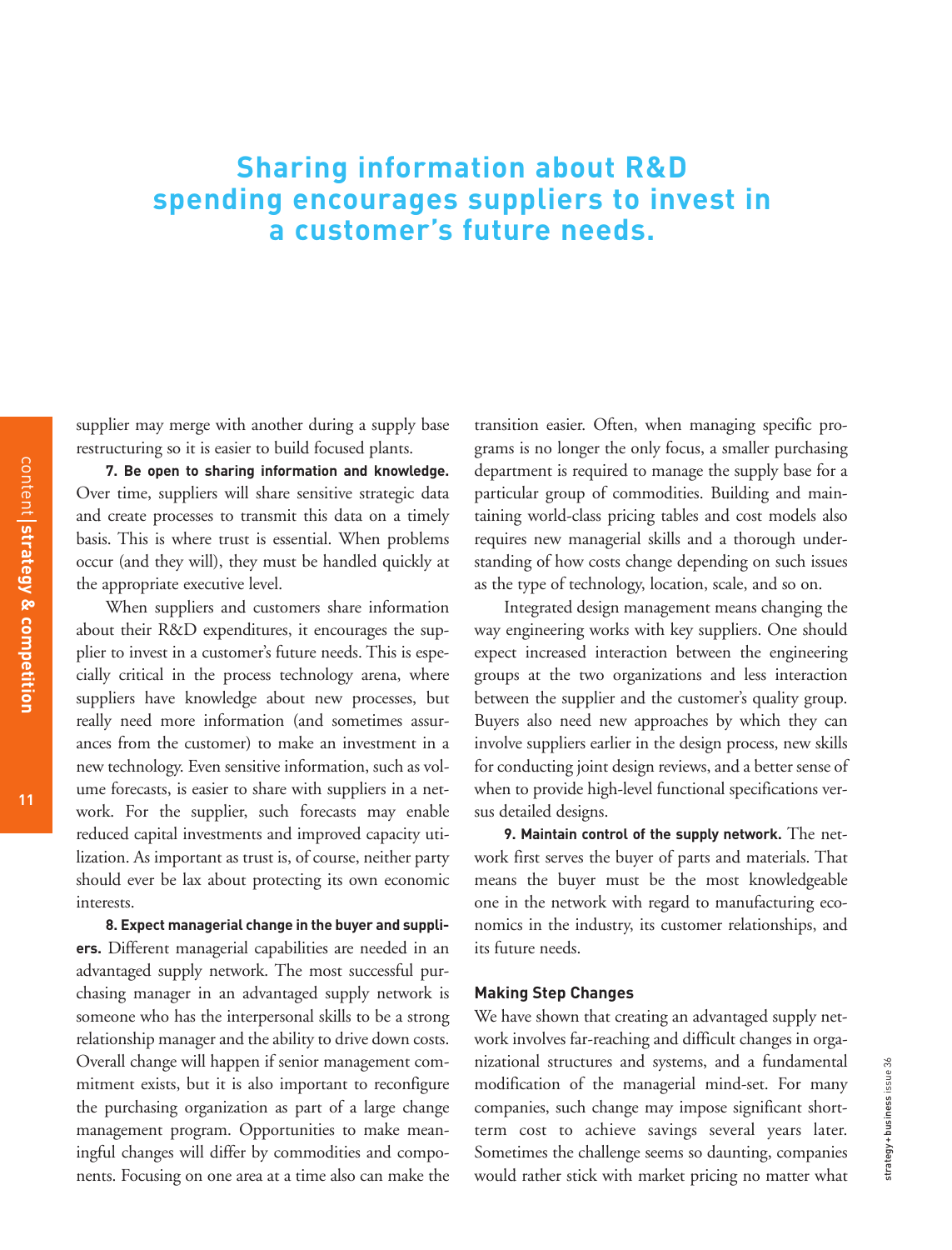#### **Sharing information about R&D spending encourages suppliers to invest in a customer's future needs.**

supplier may merge with another during a supply base restructuring so it is easier to build focused plants.

**7. Be open to sharing information and knowledge.** Over time, suppliers will share sensitive strategic data and create processes to transmit this data on a timely basis. This is where trust is essential. When problems occur (and they will), they must be handled quickly at the appropriate executive level.

When suppliers and customers share information about their R&D expenditures, it encourages the supplier to invest in a customer's future needs. This is especially critical in the process technology arena, where suppliers have knowledge about new processes, but really need more information (and sometimes assurances from the customer) to make an investment in a new technology. Even sensitive information, such as volume forecasts, is easier to share with suppliers in a network. For the supplier, such forecasts may enable reduced capital investments and improved capacity utilization. As important as trust is, of course, neither party should ever be lax about protecting its own economic interests.

**8. Expect managerial change in the buyer and suppliers.** Different managerial capabilities are needed in an advantaged supply network. The most successful purchasing manager in an advantaged supply network is someone who has the interpersonal skills to be a strong relationship manager and the ability to drive down costs. Overall change will happen if senior management commitment exists, but it is also important to reconfigure the purchasing organization as part of a large change management program. Opportunities to make meaningful changes will differ by commodities and components. Focusing on one area at a time also can make the

transition easier. Often, when managing specific programs is no longer the only focus, a smaller purchasing department is required to manage the supply base for a particular group of commodities. Building and maintaining world-class pricing tables and cost models also requires new managerial skills and a thorough understanding of how costs change depending on such issues as the type of technology, location, scale, and so on.

Integrated design management means changing the way engineering works with key suppliers. One should expect increased interaction between the engineering groups at the two organizations and less interaction between the supplier and the customer's quality group. Buyers also need new approaches by which they can involve suppliers earlier in the design process, new skills for conducting joint design reviews, and a better sense of when to provide high-level functional specifications versus detailed designs.

**9. Maintain control of the supply network.** The network first serves the buyer of parts and materials. That means the buyer must be the most knowledgeable one in the network with regard to manufacturing economics in the industry, its customer relationships, and its future needs.

#### **Making Step Changes**

We have shown that creating an advantaged supply network involves far-reaching and difficult changes in organizational structures and systems, and a fundamental modification of the managerial mind-set. For many companies, such change may impose significant shortterm cost to achieve savings several years later. Sometimes the challenge seems so daunting, companies would rather stick with market pricing no matter what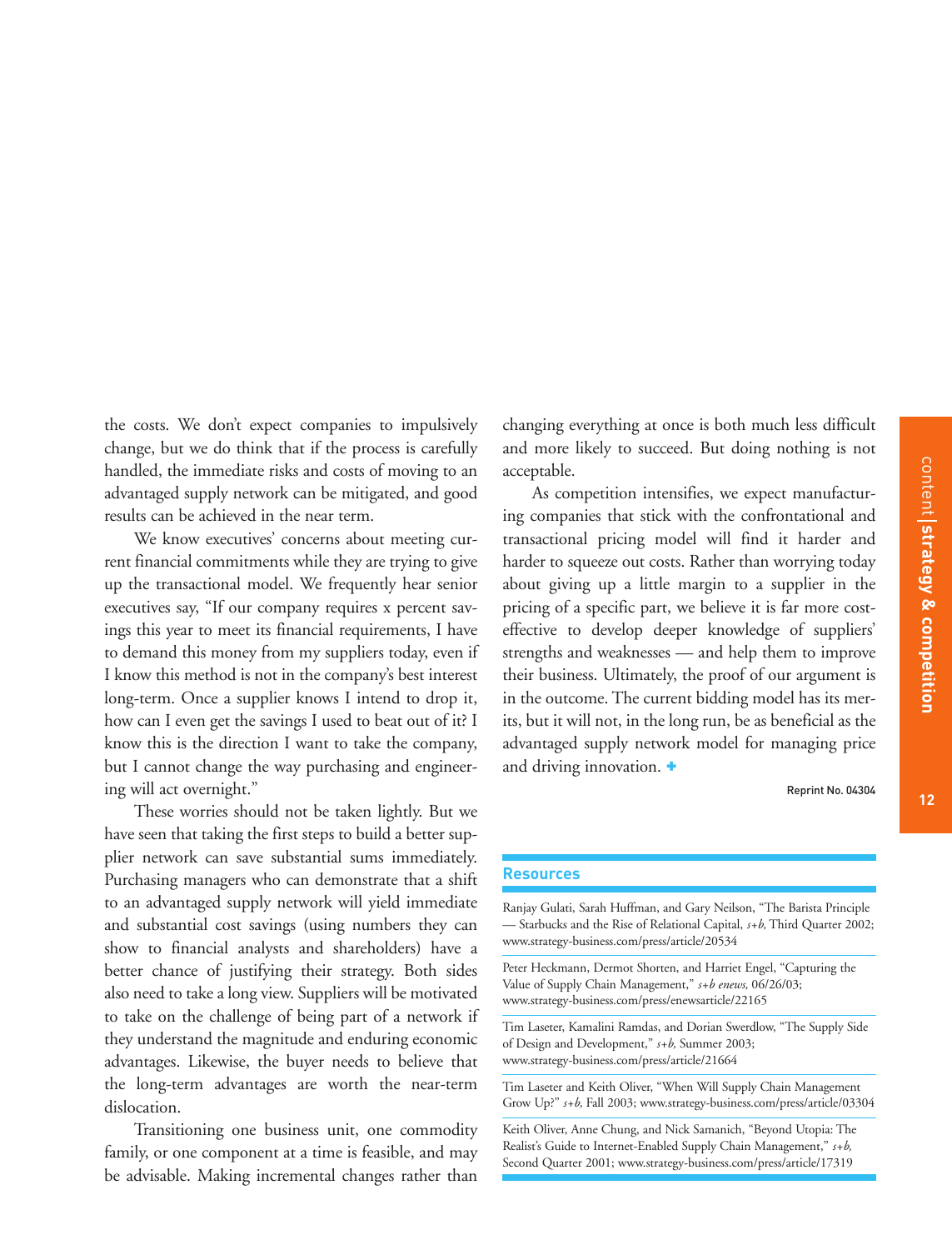**12**

the costs. We don't expect companies to impulsively change, but we do think that if the process is carefully handled, the immediate risks and costs of moving to an advantaged supply network can be mitigated, and good results can be achieved in the near term.

We know executives' concerns about meeting current financial commitments while they are trying to give up the transactional model. We frequently hear senior executives say, "If our company requires x percent savings this year to meet its financial requirements, I have to demand this money from my suppliers today, even if I know this method is not in the company's best interest long-term. Once a supplier knows I intend to drop it, how can I even get the savings I used to beat out of it? I know this is the direction I want to take the company, but I cannot change the way purchasing and engineering will act overnight."

These worries should not be taken lightly. But we have seen that taking the first steps to build a better supplier network can save substantial sums immediately. Purchasing managers who can demonstrate that a shift to an advantaged supply network will yield immediate and substantial cost savings (using numbers they can show to financial analysts and shareholders) have a better chance of justifying their strategy. Both sides also need to take a long view. Suppliers will be motivated to take on the challenge of being part of a network if they understand the magnitude and enduring economic advantages. Likewise, the buyer needs to believe that the long-term advantages are worth the near-term dislocation.

Transitioning one business unit, one commodity family, or one component at a time is feasible, and may be advisable. Making incremental changes rather than

changing everything at once is both much less difficult and more likely to succeed. But doing nothing is not acceptable.

As competition intensifies, we expect manufacturing companies that stick with the confrontational and transactional pricing model will find it harder and harder to squeeze out costs. Rather than worrying today about giving up a little margin to a supplier in the pricing of a specific part, we believe it is far more costeffective to develop deeper knowledge of suppliers' strengths and weaknesses — and help them to improve their business. Ultimately, the proof of our argument is in the outcome. The current bidding model has its merits, but it will not, in the long run, be as beneficial as the advantaged supply network model for managing price and driving innovation. +

Reprint No. 04304

#### **Resources**

Ranjay Gulati, Sarah Huffman, and Gary Neilson, "The Barista Principle — Starbucks and the Rise of Relational Capital, *s+b,* Third Quarter 2002; www.strategy-business.com/press/article/20534

Peter Heckmann, Dermot Shorten, and Harriet Engel, "Capturing the Value of Supply Chain Management," *s+b enews,* 06/26/03; www.strategy-business.com/press/enewsarticle/22165

Tim Laseter, Kamalini Ramdas, and Dorian Swerdlow, "The Supply Side of Design and Development," *s+b,* Summer 2003; www.strategy-business.com/press/article/21664

Tim Laseter and Keith Oliver, "When Will Supply Chain Management Grow Up?" *s+b,* Fall 2003; www.strategy-business.com/press/article/03304

Keith Oliver, Anne Chung, and Nick Samanich, "Beyond Utopia: The Realist's Guide to Internet-Enabled Supply Chain Management," *s+b,* Second Quarter 2001; www.strategy-business.com/press/article/17319